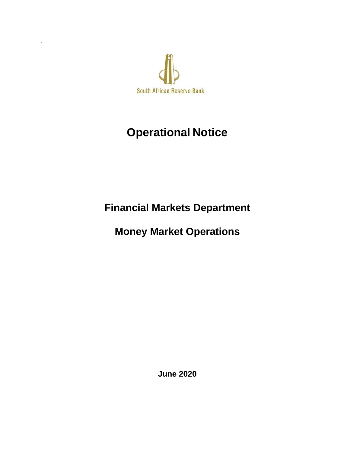

`

# **Operational Notice**

**Financial Markets Department**

**Money Market Operations**

**June 2020**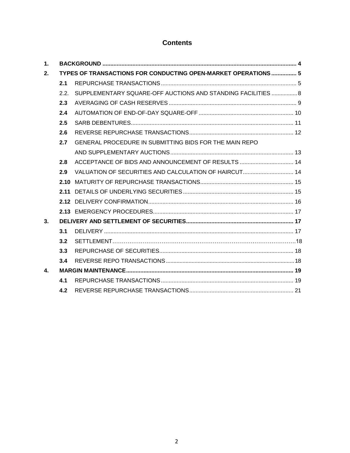## **Contents**

| 1.             |                                                               |                                                              |  |  |  |  |  |  |  |
|----------------|---------------------------------------------------------------|--------------------------------------------------------------|--|--|--|--|--|--|--|
| 2.             | TYPES OF TRANSACTIONS FOR CONDUCTING OPEN-MARKET OPERATIONS 5 |                                                              |  |  |  |  |  |  |  |
|                | 2.1                                                           |                                                              |  |  |  |  |  |  |  |
|                | 2.2.                                                          | SUPPLEMENTARY SQUARE-OFF AUCTIONS AND STANDING FACILITIES  8 |  |  |  |  |  |  |  |
|                | 2.3                                                           |                                                              |  |  |  |  |  |  |  |
|                | 2.4                                                           |                                                              |  |  |  |  |  |  |  |
|                | 2.5                                                           |                                                              |  |  |  |  |  |  |  |
|                | 2.6                                                           |                                                              |  |  |  |  |  |  |  |
|                | 2.7                                                           | GENERAL PROCEDURE IN SUBMITTING BIDS FOR THE MAIN REPO       |  |  |  |  |  |  |  |
|                |                                                               |                                                              |  |  |  |  |  |  |  |
|                | 2.8                                                           | ACCEPTANCE OF BIDS AND ANNOUNCEMENT OF RESULTS  14           |  |  |  |  |  |  |  |
|                | 2.9                                                           |                                                              |  |  |  |  |  |  |  |
|                |                                                               |                                                              |  |  |  |  |  |  |  |
|                | 2.11                                                          |                                                              |  |  |  |  |  |  |  |
|                |                                                               |                                                              |  |  |  |  |  |  |  |
|                |                                                               |                                                              |  |  |  |  |  |  |  |
| 3 <sub>l</sub> |                                                               |                                                              |  |  |  |  |  |  |  |
|                | 3.1                                                           |                                                              |  |  |  |  |  |  |  |
|                | 3.2                                                           |                                                              |  |  |  |  |  |  |  |
|                | 3.3                                                           |                                                              |  |  |  |  |  |  |  |
|                | 3.4                                                           |                                                              |  |  |  |  |  |  |  |
| $\mathbf{A}$   |                                                               |                                                              |  |  |  |  |  |  |  |
|                | 4.1                                                           |                                                              |  |  |  |  |  |  |  |
|                | 4.2                                                           |                                                              |  |  |  |  |  |  |  |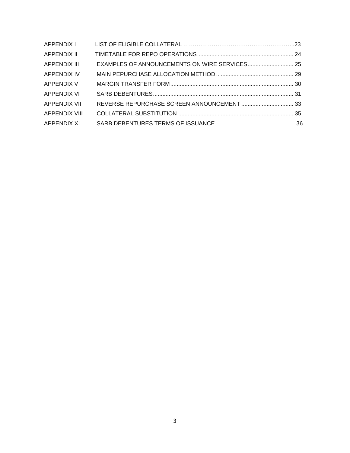| APPENDIX I           |  |
|----------------------|--|
| <b>APPENDIX II</b>   |  |
| <b>APPENDIX III</b>  |  |
| <b>APPENDIX IV</b>   |  |
| <b>APPENDIX V</b>    |  |
| APPENDIX VI          |  |
| <b>APPENDIX VII</b>  |  |
| <b>APPENDIX VIII</b> |  |
| APPENDIX XI          |  |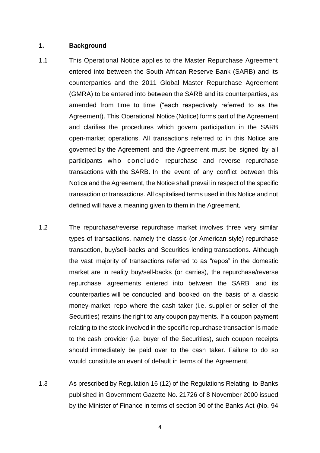#### <span id="page-3-0"></span>**1. Background**

- 1.1 This Operational Notice applies to the Master Repurchase Agreement entered into between the South African Reserve Bank (SARB) and its counterparties and the 2011 Global Master Repurchase Agreement (GMRA) to be entered into between the SARB and its counterparties, as amended from time to time ("each respectively referred to as the Agreement). This Operational Notice (Notice) forms part of the Agreement and clarifies the procedures which govern participation in the SARB open-market operations. All transactions referred to in this Notice are governed by the Agreement and the Agreement must be signed by all participants who conclude repurchase and reverse repurchase transactions with the SARB. In the event of any conflict between this Notice and the Agreement, the Notice shall prevail in respect of the specific transaction or transactions. All capitalised terms used in this Notice and not defined will have a meaning given to them in the Agreement.
- 1.2 The repurchase/reverse repurchase market involves three very similar types of transactions, namely the classic (or American style) repurchase transaction, buy/sell-backs and Securities lending transactions. Although the vast majority of transactions referred to as "repos" in the domestic market are in reality buy/sell-backs (or carries), the repurchase/reverse repurchase agreements entered into between the SARB and its counterparties will be conducted and booked on the basis of a classic money-market repo where the cash taker (i.e. supplier or seller of the Securities) retains the right to any coupon payments. If a coupon payment relating to the stock involved in the specific repurchase transaction is made to the cash provider (i.e. buyer of the Securities), such coupon receipts should immediately be paid over to the cash taker. Failure to do so would constitute an event of default in terms of the Agreement.
- 1.3 As prescribed by Regulation 16 (12) of the Regulations Relating to Banks published in Government Gazette No. 21726 of 8 November 2000 issued by the Minister of Finance in terms of section 90 of the Banks Act (No. 94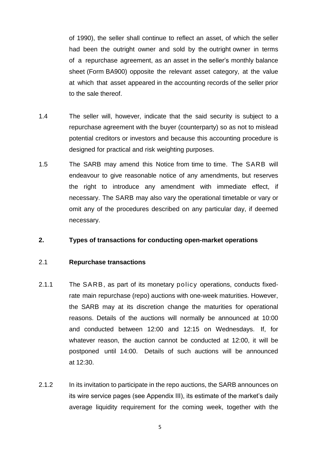of 1990), the seller shall continue to reflect an asset, of which the seller had been the outright owner and sold by the outright owner in terms of a repurchase agreement, as an asset in the seller's monthly balance sheet (Form BA900) opposite the relevant asset category, at the value at which that asset appeared in the accounting records of the seller prior to the sale thereof.

- 1.4 The seller will, however, indicate that the said security is subject to a repurchase agreement with the buyer (counterparty) so as not to mislead potential creditors or investors and because this accounting procedure is designed for practical and risk weighting purposes.
- 1.5 The SARB may amend this Notice from time to time. The SARB will endeavour to give reasonable notice of any amendments, but reserves the right to introduce any amendment with immediate effect, if necessary. The SARB may also vary the operational timetable or vary or omit any of the procedures described on any particular day, if deemed necessary.

#### <span id="page-4-1"></span><span id="page-4-0"></span>**2. Types of transactions for conducting open-market operations**

## 2.1 **Repurchase transactions**

- 2.1.1 The SARB, as part of its monetary policy operations, conducts fixedrate main repurchase (repo) auctions with one-week maturities. However, the SARB may at its discretion change the maturities for operational reasons. Details of the auctions will normally be announced at 10:00 and conducted between 12:00 and 12:15 on Wednesdays. If, for whatever reason, the auction cannot be conducted at 12:00, it will be postponed until 14:00. Details of such auctions will be announced at 12:30.
- 2.1.2 In its invitation to participate in the repo auctions, the SARB announces on its wire service pages (see Appendix III), its estimate of the market's daily average liquidity requirement for the coming week, together with the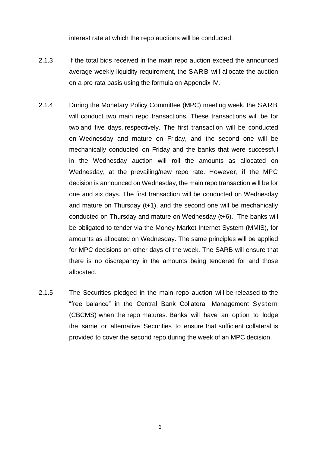interest rate at which the repo auctions will be conducted.

- 2.1.3 If the total bids received in the main repo auction exceed the announced average weekly liquidity requirement, the SARB will allocate the auction on a pro rata basis using the formula on Appendix IV.
- 2.1.4 During the Monetary Policy Committee (MPC) meeting week, the SARB will conduct two main repo transactions. These transactions will be for two and five days, respectively. The first transaction will be conducted on Wednesday and mature on Friday, and the second one will be mechanically conducted on Friday and the banks that were successful in the Wednesday auction will roll the amounts as allocated on Wednesday, at the prevailing/new repo rate. However, if the MPC decision is announced on Wednesday, the main repo transaction will be for one and six days. The first transaction will be conducted on Wednesday and mature on Thursday (t+1), and the second one will be mechanically conducted on Thursday and mature on Wednesday (t+6). The banks will be obligated to tender via the Money Market Internet System (MMIS), for amounts as allocated on Wednesday. The same principles will be applied for MPC decisions on other days of the week. The SARB will ensure that there is no discrepancy in the amounts being tendered for and those allocated.
- 2.1.5 The Securities pledged in the main repo auction will be released to the "free balance" in the Central Bank Collateral Management System (CBCMS) when the repo matures. Banks will have an option to lodge the same or alternative Securities to ensure that sufficient collateral is provided to cover the second repo during the week of an MPC decision.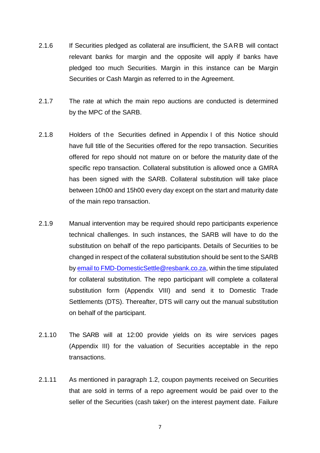- 2.1.6 If Securities pledged as collateral are insufficient, the SARB will contact relevant banks for margin and the opposite will apply if banks have pledged too much Securities. Margin in this instance can be Margin Securities or Cash Margin as referred to in the Agreement.
- 2.1.7 The rate at which the main repo auctions are conducted is determined by the MPC of the SARB.
- 2.1.8 Holders of the Securities defined in Appendix I of this Notice should have full title of the Securities offered for the repo transaction. Securities offered for repo should not mature on or before the maturity date of the specific repo transaction. Collateral substitution is allowed once a GMRA has been signed with the SARB. Collateral substitution will take place between 10h00 and 15h00 every day except on the start and maturity date of the main repo transaction.
- 2.1.9 Manual intervention may be required should repo participants experience technical challenges. In such instances, the SARB will have to do the substitution on behalf of the repo participants. Details of Securities to be changed in respect of the collateral substitution should be sent to the SARB by [email to FMD-DomesticSettle@resbank.co.za,](mailto:email%20to%20FMD-DomesticSettle@resbank.co.za) within the time stipulated for collateral substitution. The repo participant will complete a collateral substitution form (Appendix VIII) and send it to Domestic Trade Settlements (DTS). Thereafter, DTS will carry out the manual substitution on behalf of the participant.
- 2.1.10 The SARB will at 12:00 provide yields on its wire services pages (Appendix III) for the valuation of Securities acceptable in the repo transactions.
- 2.1.11 As mentioned in paragraph 1.2, coupon payments received on Securities that are sold in terms of a repo agreement would be paid over to the seller of the Securities (cash taker) on the interest payment date. Failure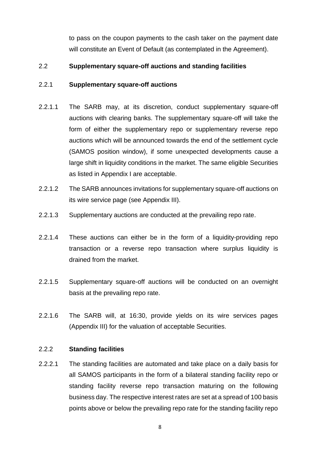to pass on the coupon payments to the cash taker on the payment date will constitute an Event of Default (as contemplated in the Agreement).

## <span id="page-7-0"></span>2.2 **Supplementary square-off auctions and standing facilities**

## 2.2.1 **Supplementary square-off auctions**

- 2.2.1.1 The SARB may, at its discretion, conduct supplementary square-off auctions with clearing banks. The supplementary square-off will take the form of either the supplementary repo or supplementary reverse repo auctions which will be announced towards the end of the settlement cycle (SAMOS position window), if some unexpected developments cause a large shift in liquidity conditions in the market. The same eligible Securities as listed in Appendix I are acceptable.
- 2.2.1.2 The SARB announces invitations for supplementary square-off auctions on its wire service page (see Appendix III).
- 2.2.1.3 Supplementary auctions are conducted at the prevailing repo rate.
- 2.2.1.4 These auctions can either be in the form of a liquidity-providing repo transaction or a reverse repo transaction where surplus liquidity is drained from the market.
- 2.2.1.5 Supplementary square-off auctions will be conducted on an overnight basis at the prevailing repo rate.
- 2.2.1.6 The SARB will, at 16:30, provide yields on its wire services pages (Appendix III) for the valuation of acceptable Securities.

## 2.2.2 **Standing facilities**

2.2.2.1 The standing facilities are automated and take place on a daily basis for all SAMOS participants in the form of a bilateral standing facility repo or standing facility reverse repo transaction maturing on the following business day. The respective interest rates are set at a spread of 100 basis points above or below the prevailing repo rate for the standing facility repo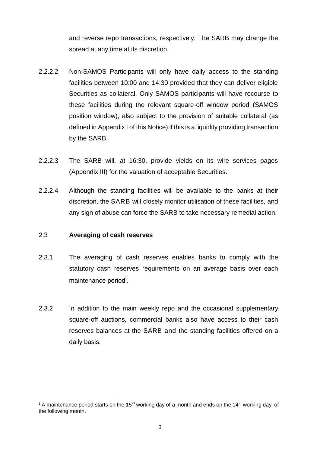and reverse repo transactions, respectively. The SARB may change the spread at any time at its discretion.

- 2.2.2.2 Non-SAMOS Participants will only have daily access to the standing facilities between 10:00 and 14:30 provided that they can deliver eligible Securities as collateral. Only SAMOS participants will have recourse to these facilities during the relevant square-off window period (SAMOS position window), also subject to the provision of suitable collateral (as defined in Appendix I of this Notice) if this is a liquidity providing transaction by the SARB.
- 2.2.2.3 The SARB will, at 16:30, provide yields on its wire services pages (Appendix III) for the valuation of acceptable Securities.
- <span id="page-8-0"></span>2.2.2.4 Although the standing facilities will be available to the banks at their discretion, the SARB will closely monitor utilisation of these facilities, and any sign of abuse can force the SARB to take necessary remedial action.

## 2.3 **Averaging of cash reserves**

1

- 2.3.1 The averaging of cash reserves enables banks to comply with the statutory cash reserves requirements on an average basis over each maintenance period $^{1}$ .
- 2.3.2 In addition to the main weekly repo and the occasional supplementary square-off auctions, commercial banks also have access to their cash reserves balances at the SARB and the standing facilities offered on a daily basis.

<sup>&</sup>lt;sup>1</sup> A maintenance period starts on the 15<sup>th</sup> working day of a month and ends on the 14<sup>th</sup> working day of the following month.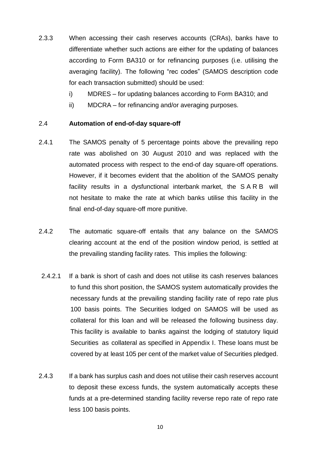- 2.3.3 When accessing their cash reserves accounts (CRAs), banks have to differentiate whether such actions are either for the updating of balances according to Form BA310 or for refinancing purposes (i.e. utilising the averaging facility). The following "rec codes" (SAMOS description code for each transaction submitted) should be used:
	- i) MDRES for updating balances according to Form BA310; and
	- ii) MDCRA for refinancing and/or averaging purposes.

#### <span id="page-9-0"></span>2.4 **Automation of end-of-day square-off**

- 2.4.1 The SAMOS penalty of 5 percentage points above the prevailing repo rate was abolished on 30 August 2010 and was replaced with the automated process with respect to the end-of day square-off operations. However, if it becomes evident that the abolition of the SAMOS penalty facility results in a dysfunctional interbank market, the SARB will not hesitate to make the rate at which banks utilise this facility in the final end-of-day square-off more punitive.
- 2.4.2 The automatic square-off entails that any balance on the SAMOS clearing account at the end of the position window period, is settled at the prevailing standing facility rates. This implies the following:
- 2.4.2.1 If a bank is short of cash and does not utilise its cash reserves balances to fund this short position, the SAMOS system automatically provides the necessary funds at the prevailing standing facility rate of repo rate plus 100 basis points. The Securities lodged on SAMOS will be used as collateral for this loan and will be released the following business day. This facility is available to banks against the lodging of statutory liquid Securities as collateral as specified in Appendix I. These loans must be covered by at least 105 per cent of the market value of Securities pledged.
- 2.4.3 If a bank has surplus cash and does not utilise their cash reserves account to deposit these excess funds, the system automatically accepts these funds at a pre-determined standing facility reverse repo rate of repo rate less 100 basis points.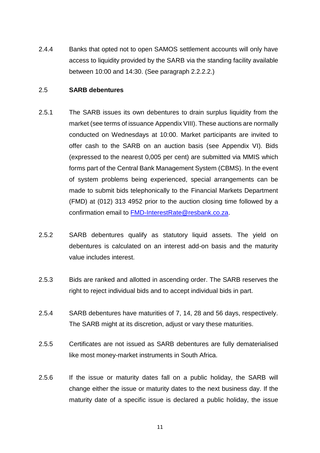<span id="page-10-0"></span>2.4.4 Banks that opted not to open SAMOS settlement accounts will only have access to liquidity provided by the SARB via the standing facility available between 10:00 and 14:30. (See paragraph 2.2.2.2.)

#### 2.5 **SARB debentures**

- 2.5.1 The SARB issues its own debentures to drain surplus liquidity from the market (see terms of issuance Appendix VIII). These auctions are normally conducted on Wednesdays at 10:00. Market participants are invited to offer cash to the SARB on an auction basis (see Appendix VI). Bids (expressed to the nearest 0,005 per cent) are submitted via MMIS which forms part of the Central Bank Management System (CBMS). In the event of system problems being experienced, special arrangements can be made to submit bids telephonically to the Financial Markets Department (FMD) at (012) 313 4952 prior to the auction closing time followed by a confirmation email to [FMD-InterestRate@resbank.co.za.](mailto:FMD-InterestRate@resbank.co.za)
- 2.5.2 SARB debentures qualify as statutory liquid assets. The vield on debentures is calculated on an interest add-on basis and the maturity value includes interest.
- 2.5.3 Bids are ranked and allotted in ascending order. The SARB reserves the right to reject individual bids and to accept individual bids in part.
- 2.5.4 SARB debentures have maturities of 7, 14, 28 and 56 days, respectively. The SARB might at its discretion, adjust or vary these maturities.
- 2.5.5 Certificates are not issued as SARB debentures are fully dematerialised like most money-market instruments in South Africa.
- 2.5.6 If the issue or maturity dates fall on a public holiday, the SARB will change either the issue or maturity dates to the next business day. If the maturity date of a specific issue is declared a public holiday, the issue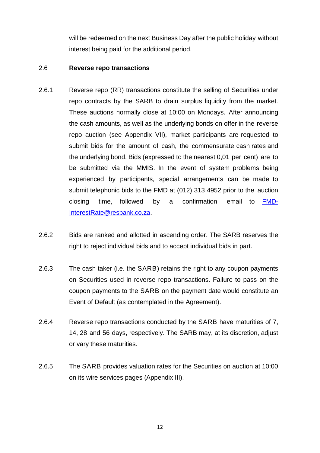will be redeemed on the next Business Day after the public holiday without interest being paid for the additional period.

### 2.6 **Reverse repo transactions**

- 2.6.1 Reverse repo (RR) transactions constitute the selling of Securities under repo contracts by the SARB to drain surplus liquidity from the market. These auctions normally close at 10:00 on Mondays. After announcing the cash amounts, as well as the underlying bonds on offer in the reverse repo auction (see Appendix VII), market participants are requested to submit bids for the amount of cash, the commensurate cash rates and the underlying bond. Bids (expressed to the nearest 0,01 per cent) are to be submitted via the MMIS. In the event of system problems being experienced by participants, special arrangements can be made to submit telephonic bids to the FMD at (012) 313 4952 prior to the auction closing time, followed by a confirmation email to [FMD-](mailto:FMD-InterestRate@resbank.co.za)[InterestRate@resbank.co.za.](mailto:FMD-InterestRate@resbank.co.za)
- 2.6.2 Bids are ranked and allotted in ascending order. The SARB reserves the right to reject individual bids and to accept individual bids in part.
- 2.6.3 The cash taker (i.e. the SARB) retains the right to any coupon payments on Securities used in reverse repo transactions. Failure to pass on the coupon payments to the SARB on the payment date would constitute an Event of Default (as contemplated in the Agreement).
- 2.6.4 Reverse repo transactions conducted by the SARB have maturities of 7, 14, 28 and 56 days, respectively. The SARB may, at its discretion, adjust or vary these maturities.
- 2.6.5 The SARB provides valuation rates for the Securities on auction at 10:00 on its wire services pages (Appendix III).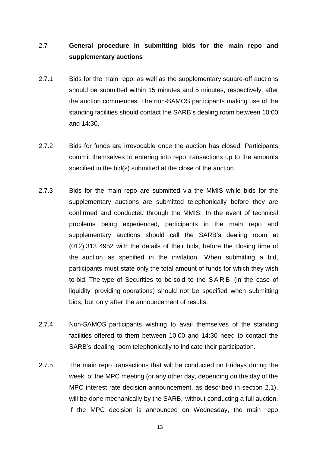## 2.7 **General procedure in submitting bids for the main repo and supplementary auctions**

- 2.7.1 Bids for the main repo, as well as the supplementary square-off auctions should be submitted within 15 minutes and 5 minutes, respectively, after the auction commences. The non-SAMOS participants making use of the standing facilities should contact the SARB's dealing room between 10:00 and 14:30.
- 2.7.2 Bids for funds are irrevocable once the auction has closed. Participants commit themselves to entering into repo transactions up to the amounts specified in the bid(s) submitted at the close of the auction.
- 2.7.3 Bids for the main repo are submitted via the MMIS while bids for the supplementary auctions are submitted telephonically before they are confirmed and conducted through the MMIS. In the event of technical problems being experienced, participants in the main repo and supplementary auctions should call the SARB's dealing room at (012) 313 4952 with the details of their bids, before the closing time of the auction as specified in the invitation. When submitting a bid, participants must state only the total amount of funds for which they wish to bid. The type of Securities to be sold to the SARB (in the case of liquidity providing operations) should not be specified when submitting bids, but only after the announcement of results.
- 2.7.4 Non-SAMOS participants wishing to avail themselves of the standing facilities offered to them between 10:00 and 14:30 need to contact the SARB's dealing room telephonically to indicate their participation.
- 2.7.5 The main repo transactions that will be conducted on Fridays during the week of the MPC meeting (or any other day, depending on the day of the MPC interest rate decision announcement, as described in section 2.1), will be done mechanically by the SARB, without conducting a full auction. If the MPC decision is announced on Wednesday, the main repo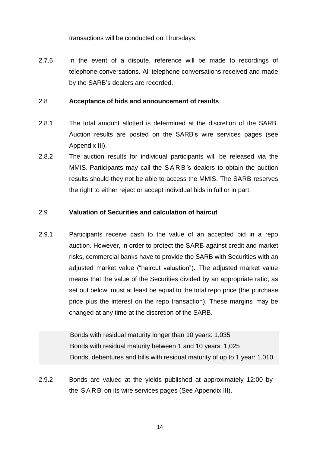transactions will be conducted on Thursdays.

<span id="page-13-0"></span>2.7.6 In the event of a dispute, reference will be made to recordings of telephone conversations. All telephone conversations received and made by the SARB's dealers are recorded.

#### 2.8 **Acceptance of bids and announcement of results**

- 2.8.1 The total amount allotted is determined at the discretion of the SARB. Auction results are posted on the SARB's wire services pages (see Appendix III).
- 2.8.2 The auction results for individual participants will be released via the MMIS. Participants may call the S A R B 's dealers to obtain the auction results should they not be able to access the MMIS. The SARB reserves the right to either reject or accept individual bids in full or in part.

### <span id="page-13-1"></span>2.9 **Valuation of Securities and calculation of haircut**

2.9.1 Participants receive cash to the value of an accepted bid in a repo auction. However, in order to protect the SARB against credit and market risks, commercial banks have to provide the SARB with Securities with an adjusted market value ("haircut valuation"). The adjusted market value means that the value of the Securities divided by an appropriate ratio, as set out below, must at least be equal to the total repo price (the purchase price plus the interest on the repo transaction). These margins may be changed at any time at the discretion of the SARB.

> Bonds with residual maturity longer than 10 years: 1,035 Bonds with residual maturity between 1 and 10 years: 1,025 Bonds, debentures and bills with residual maturity of up to 1 year: 1.010

2.9.2 Bonds are valued at the yields published at approximately 12:00 by the SARB on its wire services pages (See Appendix III).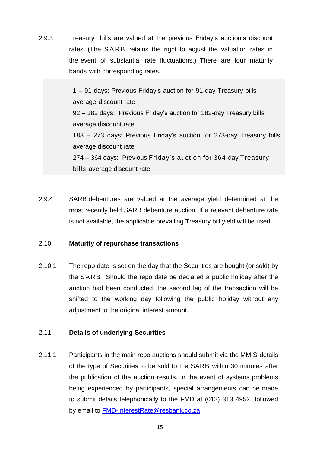2.9.3 Treasury bills are valued at the previous Friday's auction's discount rates. (The SARB retains the right to adjust the valuation rates in the event of substantial rate fluctuations.) There are four maturity bands with corresponding rates.

> 1 – 91 days: Previous Friday's auction for 91-day Treasury bills average discount rate 92 – 182 days: Previous Friday's auction for 182-day Treasury bills average discount rate 183 – 273 days: Previous Friday's auction for 273-day Treasury bills average discount rate 274 – 364 days: Previous Friday's auction for 364-day Treasury bills average discount rate

<span id="page-14-0"></span>2.9.4 SARB debentures are valued at the average yield determined at the most recently held SARB debenture auction. If a relevant debenture rate is not available, the applicable prevailing Treasury bill yield will be used.

## 2.10 **Maturity of repurchase transactions**

2.10.1 The repo date is set on the day that the Securities are bought (or sold) by the SARB. Should the repo date be declared a public holiday after the auction had been conducted, the second leg of the transaction will be shifted to the working day following the public holiday without any adjustment to the original interest amount.

## <span id="page-14-1"></span>2.11 **Details of underlying Securities**

2.11.1 Participants in the main repo auctions should submit via the MMIS details of the type of Securities to be sold to the SARB within 30 minutes after the publication of the auction results. In the event of systems problems being experienced by participants, special arrangements can be made to submit details telephonically to the FMD at (012) 313 4952, followed by email to [FMD-InterestRate@resbank.co.za.](mailto:FMD-InterestRate@resbank.co.za)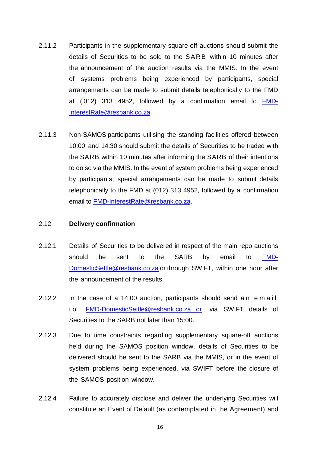- 2.11.2 Participants in the supplementary square-off auctions should submit the details of Securities to be sold to the SARB within 10 minutes after the announcement of the auction results via the MMIS. In the event of systems problems being experienced by participants, special arrangements can be made to submit details telephonically to the FMD at ( 012) 313 4952, followed by a confirmation email to [FMD-](mailto:FMD-InterestRate@resbank.co.za)[InterestRate@resbank.co.za](mailto:FMD-InterestRate@resbank.co.za)
- 2.11.3 Non-SAMOS participants utilising the standing facilities offered between 10:00 and 14:30 should submit the details of Securities to be traded with the SARB within 10 minutes after informing the SARB of their intentions to do so via the MMIS. In the event of system problems being experienced by participants, special arrangements can be made to submit details telephonically to the FMD at (012) 313 4952, followed by a confirmation email to [FMD-InterestRate@resbank.co.za.](mailto:FMD-InterestRate@resbank.co.za)

#### <span id="page-15-0"></span>2.12 **Delivery confirmation**

- 2.12.1 Details of Securities to be delivered in respect of the main repo auctions should be sent to the SARB by email to <mark>FMD-</mark> [DomesticSettle@resbank.co.za](mailto:email%20to%20FMD-DomesticSettle@resbank.co.za) or through SWIFT, within one hour after the announcement of the results.
- 2.12.2 In the case of a 14:00 auction, participants should send an email t o [FMD-DomesticSettle@resbank.co.za](mailto:FMD-DomesticSettle@resbank.co.za) or via SWIFT details of Securities to the SARB not later than 15:00.
- 2.12.3 Due to time constraints regarding supplementary square-off auctions held during the SAMOS position window, details of Securities to be delivered should be sent to the SARB via the MMIS, or in the event of system problems being experienced, via SWIFT before the closure of the SAMOS position window.
- 2.12.4 Failure to accurately disclose and deliver the underlying Securities will constitute an Event of Default (as contemplated in the Agreement) and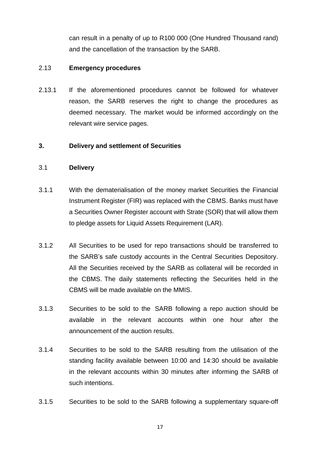can result in a penalty of up to R100 000 (One Hundred Thousand rand) and the cancellation of the transaction by the SARB.

### <span id="page-16-0"></span>2.13 **Emergency procedures**

2.13.1 If the aforementioned procedures cannot be followed for whatever reason, the SARB reserves the right to change the procedures as deemed necessary. The market would be informed accordingly on the relevant wire service pages.

#### <span id="page-16-2"></span><span id="page-16-1"></span>**3. Delivery and settlement of Securities**

#### 3.1 **Delivery**

- 3.1.1 With the dematerialisation of the money market Securities the Financial Instrument Register (FIR) was replaced with the CBMS. Banks must have a Securities Owner Register account with Strate (SOR) that will allow them to pledge assets for Liquid Assets Requirement (LAR).
- 3.1.2 All Securities to be used for repo transactions should be transferred to the SARB's safe custody accounts in the Central Securities Depository. All the Securities received by the SARB as collateral will be recorded in the CBMS. The daily statements reflecting the Securities held in the CBMS will be made available on the MMIS.
- 3.1.3 Securities to be sold to the SARB following a repo auction should be available in the relevant accounts within one hour after the announcement of the auction results.
- 3.1.4 Securities to be sold to the SARB resulting from the utilisation of the standing facility available between 10:00 and 14:30 should be available in the relevant accounts within 30 minutes after informing the SARB of such intentions.
- 3.1.5 Securities to be sold to the SARB following a supplementary square-off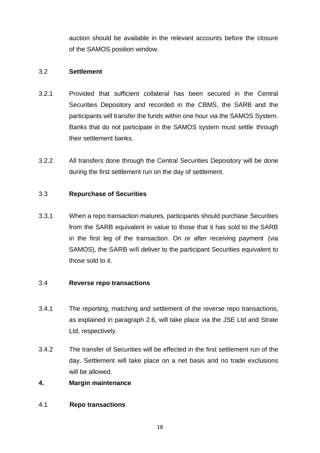auction should be available in the relevant accounts before the closure of the SAMOS position window.

## 3.2 **Settlement**

- 3.2.1 Provided that sufficient collateral has been secured in the Central Securities Depository and recorded in the CBMS, the SARB and the participants will transfer the funds within one hour via the SAMOS System. Banks that do not participate in the SAMOS system must settle through their settlement banks.
- <span id="page-17-0"></span>3.2.2 All transfers done through the Central Securities Depository will be done during the first settlement run on the day of settlement.

## 3.3 **Repurchase of Securities**

3.3.1 When a repo transaction matures, participants should purchase Securities from the SARB equivalent in value to those that it has sold to the SARB in the first leg of the transaction. On or after receiving payment (via SAMOS), the SARB will deliver to the participant Securities equivalent to those sold to it.

## <span id="page-17-1"></span>3.4 **Reverse repo transactions**

- 3.4.1 The reporting, matching and settlement of the reverse repo transactions, as explained in paragraph 2.6, will take place via the JSE Ltd and Strate Ltd, respectively.
- <span id="page-17-2"></span>3.4.2 The transfer of Securities will be effected in the first settlement run of the day. Settlement will take place on a net basis and no trade exclusions will be allowed.

## **4. Margin maintenance**

4.1 **Repo transactions**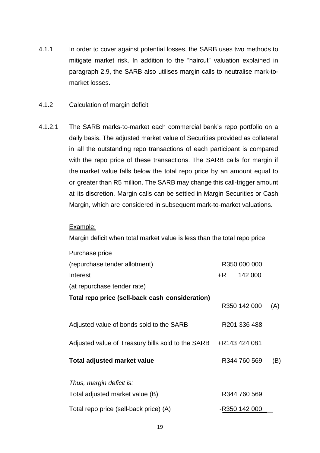- 4.1.1 In order to cover against potential losses, the SARB uses two methods to mitigate market risk. In addition to the "haircut" valuation explained in paragraph 2.9, the SARB also utilises margin calls to neutralise mark-tomarket losses.
- 4.1.2 Calculation of margin deficit
- 4.1.2.1 The SARB marks-to-market each commercial bank's repo portfolio on a daily basis. The adjusted market value of Securities provided as collateral in all the outstanding repo transactions of each participant is compared with the repo price of these transactions. The SARB calls for margin if the market value falls below the total repo price by an amount equal to or greater than R5 million. The SARB may change this call-trigger amount at its discretion. Margin calls can be settled in Margin Securities or Cash Margin, which are considered in subsequent mark-to-market valuations.

#### Example:

Margin deficit when total market value is less than the total repo price

| Purchase price                                    |    |               |     |
|---------------------------------------------------|----|---------------|-----|
| (repurchase tender allotment)                     |    | R350 000 000  |     |
| Interest                                          | +R | 142 000       |     |
| (at repurchase tender rate)                       |    |               |     |
| Total repo price (sell-back cash consideration)   |    | R350 142 000  | (A) |
| Adjusted value of bonds sold to the SARB          |    | R201 336 488  |     |
| Adjusted value of Treasury bills sold to the SARB |    | +R143 424 081 |     |
| <b>Total adjusted market value</b>                |    | R344 760 569  | (B) |
| Thus, margin deficit is:                          |    |               |     |
| Total adjusted market value (B)                   |    | R344 760 569  |     |
| Total repo price (sell-back price) (A)            |    | -R350 142 000 |     |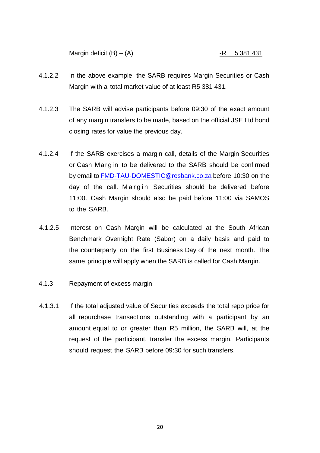Margin deficit  $(B) - (A)$  -R 5 381 431

- 4.1.2.2 In the above example, the SARB requires Margin Securities or Cash Margin with a total market value of at least R5 381 431.
- 4.1.2.3 The SARB will advise participants before 09:30 of the exact amount of any margin transfers to be made, based on the official JSE Ltd bond closing rates for value the previous day.
- 4.1.2.4 If the SARB exercises a margin call, details of the Margin Securities or Cash Margin to be delivered to the SARB should be confirmed by email to [FMD-TAU-DOMESTIC@resbank.co.za](mailto:FMD-TAU-DOMESTIC@resbank.co.za) before 10:30 on the day of the call. Margin Securities should be delivered before 11:00. Cash Margin should also be paid before 11:00 via SAMOS to the SARB.
- 4.1.2.5 Interest on Cash Margin will be calculated at the South African Benchmark Overnight Rate (Sabor) on a daily basis and paid to the counterparty on the first Business Day of the next month. The same principle will apply when the SARB is called for Cash Margin.
- 4.1.3 Repayment of excess margin
- 4.1.3.1 If the total adjusted value of Securities exceeds the total repo price for all repurchase transactions outstanding with a participant by an amount equal to or greater than R5 million, the SARB will, at the request of the participant, transfer the excess margin. Participants should request the SARB before 09:30 for such transfers.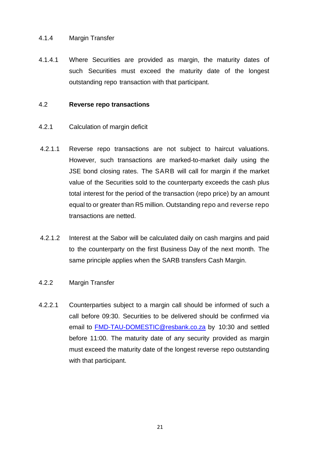## 4.1.4 Margin Transfer

4.1.4.1 Where Securities are provided as margin, the maturity dates of such Securities must exceed the maturity date of the longest outstanding repo transaction with that participant.

#### 4.2 **Reverse repo transactions**

- 4.2.1 Calculation of margin deficit
- 4.2.1.1 Reverse repo transactions are not subject to haircut valuations. However, such transactions are marked-to-market daily using the JSE bond closing rates. The SARB will call for margin if the market value of the Securities sold to the counterparty exceeds the cash plus total interest for the period of the transaction (repo price) by an amount equal to or greater than R5 million. Outstanding repo and reverse repo transactions are netted.
- 4.2.1.2 Interest at the Sabor will be calculated daily on cash margins and paid to the counterparty on the first Business Day of the next month. The same principle applies when the SARB transfers Cash Margin.
- 4.2.2 Margin Transfer
- 4.2.2.1 Counterparties subject to a margin call should be informed of such a call before 09:30. Securities to be delivered should be confirmed via email to [FMD-TAU-DOMESTIC@resbank.co.za](mailto:FMD-TAU-DOMESTIC@resbank.co.za) by 10:30 and settled before 11:00. The maturity date of any security provided as margin must exceed the maturity date of the longest reverse repo outstanding with that participant.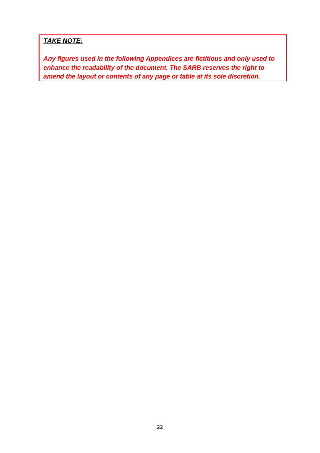## *TAKE NOTE:*

*Any figures used in the following Appendices are fictitious and only used to enhance the readability of the document. The SARB reserves the right to amend the layout or contents of any page or table at its sole discretion.*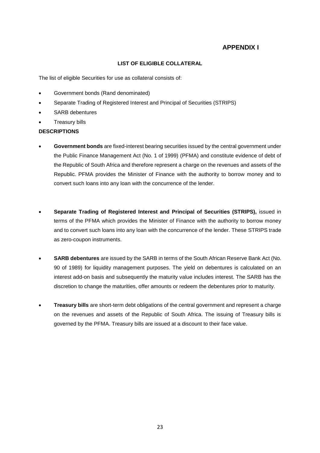## **APPENDIX I**

#### **LIST OF ELIGIBLE COLLATERAL**

The list of eligible Securities for use as collateral consists of:

- Government bonds (Rand denominated)
- Separate Trading of Registered Interest and Principal of Securities (STRIPS)
- SARB debentures
- Treasury bills

#### **DESCRIPTIONS**

- **Government bonds** are fixed-interest bearing securities issued by the central government under the Public Finance Management Act (No. 1 of 1999) (PFMA) and constitute evidence of debt of the Republic of South Africa and therefore represent a charge on the revenues and assets of the Republic. PFMA provides the Minister of Finance with the authority to borrow money and to convert such loans into any loan with the concurrence of the lender.
- **Separate Trading of Registered Interest and Principal of Securities (STRIPS),** issued in terms of the PFMA which provides the Minister of Finance with the authority to borrow money and to convert such loans into any loan with the concurrence of the lender. These STRIPS trade as zero-coupon instruments.
- **SARB debentures** are issued by the SARB in terms of the South African Reserve Bank Act (No. 90 of 1989) for liquidity management purposes. The yield on debentures is calculated on an interest add-on basis and subsequently the maturity value includes interest. The SARB has the discretion to change the maturities, offer amounts or redeem the debentures prior to maturity.
- **Treasury bills** are short-term debt obligations of the central government and represent a charge on the revenues and assets of the Republic of South Africa. The issuing of Treasury bills is governed by the PFMA. Treasury bills are issued at a discount to their face value.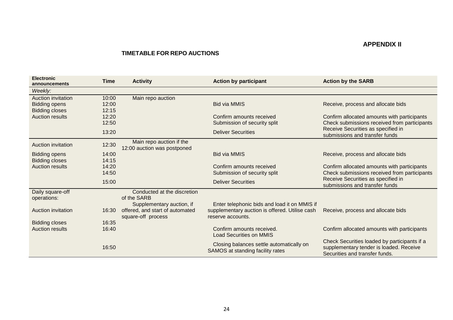## **APPENDIX II**

#### **TIMETABLE FOR REPO AUCTIONS**

| <b>Electronic</b><br>announcements                                  | Time                    | <b>Activity</b>                                                                    | <b>Action by participant</b>                                                                                        | <b>Action by the SARB</b>                                                                                                 |
|---------------------------------------------------------------------|-------------------------|------------------------------------------------------------------------------------|---------------------------------------------------------------------------------------------------------------------|---------------------------------------------------------------------------------------------------------------------------|
| Weekly:                                                             |                         |                                                                                    |                                                                                                                     |                                                                                                                           |
| Auction invitation<br><b>Bidding opens</b><br><b>Bidding closes</b> | 10:00<br>12:00<br>12:15 | Main repo auction                                                                  | <b>Bid via MMIS</b>                                                                                                 | Receive, process and allocate bids                                                                                        |
| <b>Auction results</b>                                              | 12:20<br>12:50          |                                                                                    | Confirm amounts received<br>Submission of security split                                                            | Confirm allocated amounts with participants<br>Check submissions received from participants                               |
|                                                                     | 13:20                   |                                                                                    | <b>Deliver Securities</b>                                                                                           | Receive Securities as specified in<br>submissions and transfer funds                                                      |
| <b>Auction invitation</b>                                           | 12:30                   | Main repo auction if the<br>12:00 auction was postponed                            |                                                                                                                     |                                                                                                                           |
| <b>Bidding opens</b><br><b>Bidding closes</b>                       | 14:00<br>14:15          |                                                                                    | <b>Bid via MMIS</b>                                                                                                 | Receive, process and allocate bids                                                                                        |
| <b>Auction results</b>                                              | 14:20<br>14:50          |                                                                                    | Confirm amounts received<br>Submission of security split                                                            | Confirm allocated amounts with participants<br>Check submissions received from participants                               |
|                                                                     | 15:00                   |                                                                                    | <b>Deliver Securities</b>                                                                                           | Receive Securities as specified in<br>submissions and transfer funds                                                      |
| Daily square-off<br>operations:                                     |                         | Conducted at the discretion<br>of the SARB                                         |                                                                                                                     |                                                                                                                           |
| <b>Auction invitation</b>                                           | 16:30                   | Supplementary auction, if<br>offered, and start of automated<br>square-off process | Enter telephonic bids and load it on MMIS if<br>supplementary auction is offered. Utilise cash<br>reserve accounts. | Receive, process and allocate bids                                                                                        |
| <b>Bidding closes</b>                                               | 16:35                   |                                                                                    |                                                                                                                     |                                                                                                                           |
| <b>Auction results</b>                                              | 16:40                   |                                                                                    | Confirm amounts received.<br><b>Load Securities on MMIS</b>                                                         | Confirm allocated amounts with participants                                                                               |
|                                                                     | 16:50                   |                                                                                    | Closing balances settle automatically on<br>SAMOS at standing facility rates                                        | Check Securities loaded by participants if a<br>supplementary tender is loaded. Receive<br>Securities and transfer funds. |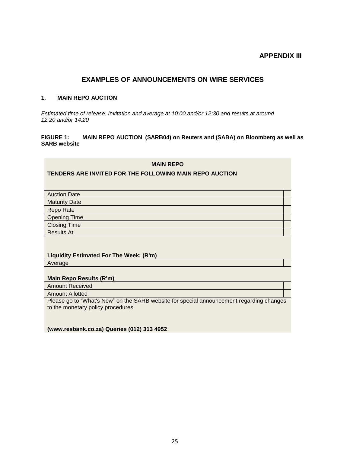## **APPENDIX III**

#### **EXAMPLES OF ANNOUNCEMENTS ON WIRE SERVICES**

#### **1. MAIN REPO AUCTION**

*Estimated time of release: Invitation and average at 10:00 and/or 12:30 and results at around 12:20 and/or 14:20*

#### **FIGURE 1: MAIN REPO AUCTION (SARB04) on Reuters and (SABA) on Bloomberg as well as SARB website**

**MAIN REPO**

#### **TENDERS ARE INVITED FOR THE FOLLOWING MAIN REPO AUCTION**

| <b>Auction Date</b>  |  |
|----------------------|--|
| <b>Maturity Date</b> |  |
| Repo Rate            |  |
| <b>Opening Time</b>  |  |
| <b>Closing Time</b>  |  |
| <b>Results At</b>    |  |
|                      |  |

#### **Liquidity Estimated For The Week: (R'm)** Average

#### **Main Repo Results (R'm)**

Amount Received

#### Amount Allotted

Please go to "What's New" on the SARB website for special announcement regarding changes to the monetary policy procedures.

**(www.resbank.co.za) Queries (012) 313 4952**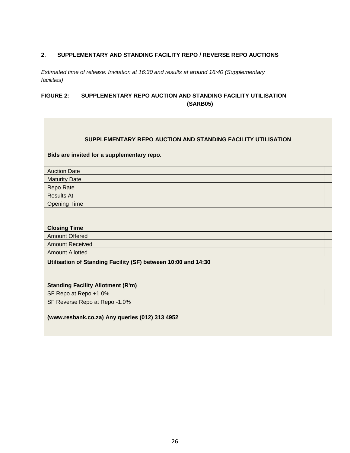#### **2. SUPPLEMENTARY AND STANDING FACILITY REPO / REVERSE REPO AUCTIONS**

*Estimated time of release: Invitation at 16:30 and results at around 16:40 (Supplementary facilities)*

#### **FIGURE 2: SUPPLEMENTARY REPO AUCTION AND STANDING FACILITY UTILISATION (SARB05)**

#### **SUPPLEMENTARY REPO AUCTION AND STANDING FACILITY UTILISATION**

#### **Bids are invited for a supplementary repo.**

| <b>Auction Date</b>  |  |
|----------------------|--|
| <b>Maturity Date</b> |  |
| Repo Rate            |  |
| <b>Results At</b>    |  |
| <b>Opening Time</b>  |  |

#### **Closing Time**

| <b>Amount Offered</b>  |  |
|------------------------|--|
| <b>Amount Received</b> |  |
| <b>Amount Allotted</b> |  |

**Utilisation of Standing Facility (SF) between 10:00 and 14:30**

#### **Standing Facility Allotment (R'm)**

SF Repo at Repo +1.0%

SF Reverse Repo at Repo -1.0%

**(www.resbank.co.za) Any queries (012) 313 4952**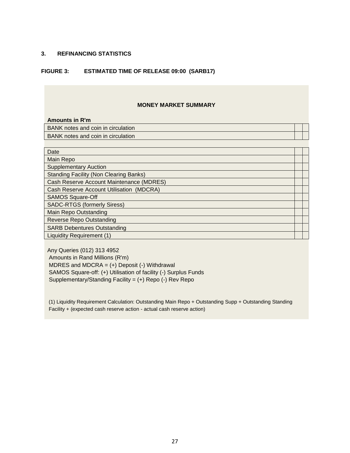#### **3. REFINANCING STATISTICS**

#### **FIGURE 3: ESTIMATED TIME OF RELEASE 09:00 (SARB17)**

#### **MONEY MARKET SUMMARY**

| <b>Amounts in R'm</b>                         |  |  |  |  |
|-----------------------------------------------|--|--|--|--|
| BANK notes and coin in circulation            |  |  |  |  |
| BANK notes and coin in circulation            |  |  |  |  |
|                                               |  |  |  |  |
| Date                                          |  |  |  |  |
| Main Repo                                     |  |  |  |  |
| <b>Supplementary Auction</b>                  |  |  |  |  |
| <b>Standing Facility (Non Clearing Banks)</b> |  |  |  |  |
| Cash Reserve Account Maintenance (MDRES)      |  |  |  |  |
| Cash Reserve Account Utilisation (MDCRA)      |  |  |  |  |
| <b>SAMOS Square-Off</b>                       |  |  |  |  |
| <b>SADC-RTGS (formerly Siress)</b>            |  |  |  |  |

Main Repo Outstanding

Reverse Repo Outstanding

SARB Debentures Outstanding

Liquidity Requirement (1)

Any Queries (012) 313 4952 Amounts in Rand Millions (R'm) MDRES and MDCRA  $=$  (+) Deposit (-) Withdrawal SAMOS Square-off: (+) Utilisation of facility (-) Surplus Funds Supplementary/Standing Facility = (+) Repo (-) Rev Repo

(1) Liquidity Requirement Calculation: Outstanding Main Repo + Outstanding Supp + Outstanding Standing Facility + (expected cash reserve action - actual cash reserve action)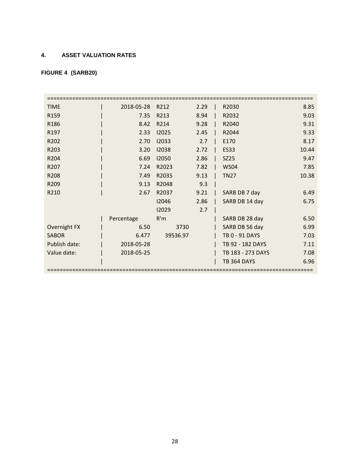## **4. ASSET VALUATION RATES**

## **FIGURE 4 (SARB20)**

| <b>TIME</b>      | 2018-05-28 | R212     | 2.29 | R2030              | 8.85  |
|------------------|------------|----------|------|--------------------|-------|
| R <sub>159</sub> | 7.35       | R213     | 8.94 | R2032              | 9.03  |
| R186             | 8.42       | R214     | 9.28 | R2040              | 9.31  |
| R <sub>197</sub> | 2.33       | 12025    | 2.45 | R2044              | 9.33  |
| R202             | 2.70       | 12033    | 2.7  | E170               | 8.17  |
| R203             | 3.20       | 12038    | 2.72 | <b>ES33</b>        | 10.44 |
| R204             | 6.69       | 12050    | 2.86 | <b>SZ25</b>        | 9.47  |
| R207             | 7.24       | R2023    | 7.82 | <b>WS04</b>        | 7.85  |
| R208             | 7.49       | R2035    | 9.13 | <b>TN27</b>        | 10.38 |
| R209             | 9.13       | R2048    | 9.3  |                    |       |
| R210             | 2.67       | R2037    | 9.21 | SARB DB 7 day      | 6.49  |
|                  |            | 12046    | 2.86 | SARB DB 14 day     | 6.75  |
|                  |            | 12029    | 2.7  |                    |       |
|                  | Percentage | R'm      |      | SARB DB 28 day     | 6.50  |
| Overnight FX     | 6.50       | 3730     |      | SARB DB 56 day     | 6.99  |
| <b>SABOR</b>     | 6.477      | 39536.97 |      | TB 0 - 91 DAYS     | 7.03  |
| Publish date:    | 2018-05-28 |          |      | TB 92 - 182 DAYS   | 7.11  |
| Value date:      | 2018-05-25 |          |      | TB 183 - 273 DAYS  | 7.08  |
|                  |            |          |      | <b>TB 364 DAYS</b> | 6.96  |
|                  |            |          |      |                    |       |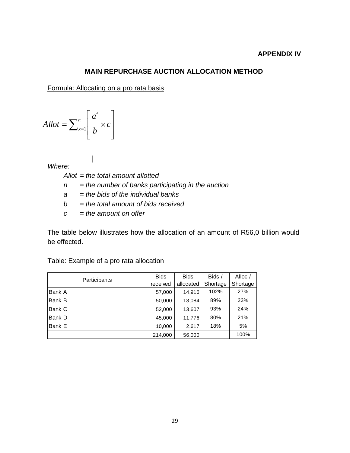#### **APPENDIX IV**

#### **MAIN REPURCHASE AUCTION ALLOCATION METHOD**

Formula: Allocating on a pro rata basis

$$
A l l o t = \sum_{x=1}^{n} \left[ \frac{a^{x}}{b} \times c \right]
$$

*Where:*

*Allot = the total amount allotted*

 $\mathbf{r}$ 

- *n = the number of banks participating in the auction*
- *a = the bids of the individual banks*
- *b = the total amount of bids received*
- *c = the amount on offer*

The table below illustrates how the allocation of an amount of R56,0 billion would be effected.

| Participants | <b>Bids</b> | <b>Bids</b> | Bids /   | Alloc /  |
|--------------|-------------|-------------|----------|----------|
|              | received    | allocated   | Shortage | Shortage |
| Bank A       | 57,000      | 14,916      | 102%     | 27%      |
| Bank B       | 50,000      | 13,084      | 89%      | 23%      |
| Bank C       | 52,000      | 13,607      | 93%      | 24%      |
| Bank D       | 45,000      | 11,776      | 80%      | 21%      |
| Bank E       | 10,000      | 2,617       | 18%      | 5%       |
|              | 214,000     | 56,000      |          | 100%     |

Table: Example of a pro rata allocation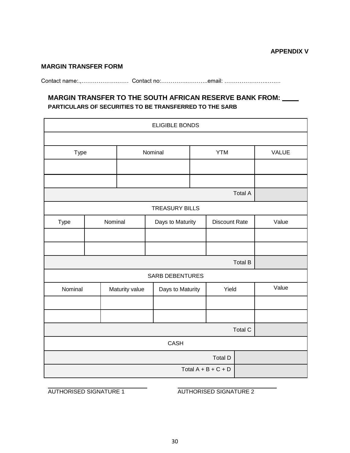#### **MARGIN TRANSFER FORM**

Contact name:.,……………….…… Contact no:…………..………..email: …………………..…….

## **MARGIN TRANSFER TO THE SOUTH AFRICAN RESERVE BANK FROM: PARTICULARS OF SECURITIES TO BE TRANSFERRED TO THE SARB**

| <b>ELIGIBLE BONDS</b> |                       |                |                        |  |                      |                |       |  |
|-----------------------|-----------------------|----------------|------------------------|--|----------------------|----------------|-------|--|
|                       |                       |                |                        |  |                      |                |       |  |
| Type                  |                       |                | Nominal                |  | <b>YTM</b>           |                | VALUE |  |
|                       |                       |                |                        |  |                      |                |       |  |
|                       |                       |                |                        |  |                      |                |       |  |
|                       |                       |                |                        |  |                      | <b>Total A</b> |       |  |
|                       |                       |                | <b>TREASURY BILLS</b>  |  |                      |                |       |  |
| Type                  | Nominal               |                | Days to Maturity       |  | <b>Discount Rate</b> |                | Value |  |
|                       |                       |                |                        |  |                      |                |       |  |
|                       |                       |                |                        |  |                      |                |       |  |
|                       |                       |                |                        |  |                      | <b>Total B</b> |       |  |
|                       |                       |                | <b>SARB DEBENTURES</b> |  |                      |                |       |  |
| Nominal               |                       | Maturity value | Days to Maturity       |  | Yield                |                | Value |  |
|                       |                       |                |                        |  |                      |                |       |  |
|                       |                       |                |                        |  |                      |                |       |  |
| <b>Total C</b>        |                       |                |                        |  |                      |                |       |  |
|                       | <b>CASH</b>           |                |                        |  |                      |                |       |  |
|                       | Total D               |                |                        |  |                      |                |       |  |
|                       | Total $A + B + C + D$ |                |                        |  |                      |                |       |  |

AUTHORISED SIGNATURE 1 AUTHORISED SIGNATURE 2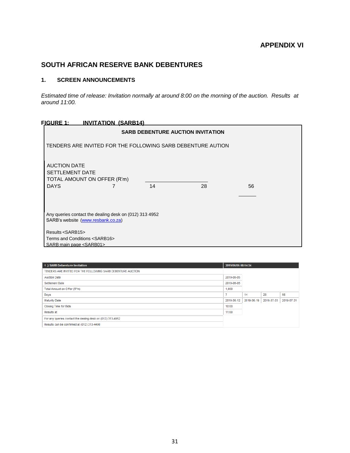## **SOUTH AFRICAN RESERVE BANK DEBENTURES**

#### **1. SCREEN ANNOUNCEMENTS**

*Estimated time of release: Invitation normally at around 8:00 on the morning of the auction. Results at around 11:00.*

#### **FIGURE 1: INVITATION (SARB14)**

|                                                                                                           |    | <b>SARB DEBENTURE AUCTION INVITATION</b> |    |  |
|-----------------------------------------------------------------------------------------------------------|----|------------------------------------------|----|--|
| TENDERS ARE INVITED FOR THE FOLLOWING SARB DEBENTURE AUTION                                               |    |                                          |    |  |
| <b>AUCTION DATE</b><br><b>SETTLEMENT DATE</b><br>TOTAL AMOUNT ON OFFER (R'm)<br><b>DAYS</b>               | 14 | 28                                       | 56 |  |
| Any queries contact the dealing desk on (012) 313 4952<br>SARB's website (www.resbank.co.za)              |    |                                          |    |  |
| Results <sarb15><br/>Terms and Conditions <sarb16><br/>SARB main page <sarb01></sarb01></sarb16></sarb15> |    |                                          |    |  |

| 1.) SARB Debenture Invitation                                | 2019/06/05 08:14:34 |            |            |            |
|--------------------------------------------------------------|---------------------|------------|------------|------------|
| TENDERS ARE INVITED FOR THE FOLLOWING SARB DEBENTURE AUCTION |                     |            |            |            |
| <b>Auction Date</b>                                          | 2019-06-05          |            |            |            |
| <b>Settlement Date</b>                                       | 2019-06-05          |            |            |            |
| Total Amount on Offer (R"m)                                  | 1,000               |            |            |            |
| Days                                                         |                     | 14         | 28         | 56         |
| <b>Maturity Date</b>                                         | 2019-06-12          | 2019-06-19 | 2019-07-03 | 2019-07-31 |
| <b>Closing Time for Bids</b>                                 | 10:00               |            |            |            |
| Results at                                                   | 11:00               |            |            |            |
| For any queries contact the dealing desk on (012) 313-4952   |                     |            |            |            |
| Results can be confirmed at (012) 313-4490                   |                     |            |            |            |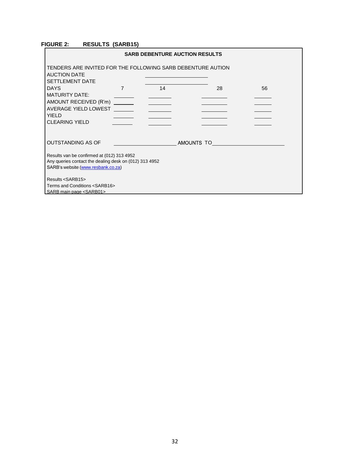#### **FIGURE 2: RESULTS (SARB15)**

| <b>SARB DEBENTURE AUCTION RESULTS</b>                                                                        |                |    |            |    |  |  |
|--------------------------------------------------------------------------------------------------------------|----------------|----|------------|----|--|--|
| TENDERS ARE INVITED FOR THE FOLLOWING SARB DEBENTURE AUTION<br><b>AUCTION DATE</b><br><b>SETTLEMENT DATE</b> |                |    |            |    |  |  |
| <b>DAYS</b>                                                                                                  | $\overline{7}$ | 14 | 28         | 56 |  |  |
| <b>MATURITY DATE:</b>                                                                                        |                |    |            |    |  |  |
| AMOUNT RECEIVED (R'm) ______                                                                                 |                |    |            |    |  |  |
| AVERAGE YIELD LOWEST<br><b>YIELD</b>                                                                         |                |    |            |    |  |  |
| <b>CLEARING YIELD</b>                                                                                        |                |    |            |    |  |  |
|                                                                                                              |                |    |            |    |  |  |
| <b>OUTSTANDING AS OF</b>                                                                                     |                |    | AMOUNTS TO |    |  |  |
| Results van be confirmed at (012) 313 4952                                                                   |                |    |            |    |  |  |
| Any queries contact the dealing desk on (012) 313 4952                                                       |                |    |            |    |  |  |
| SARB's website (www.resbank.co.za)                                                                           |                |    |            |    |  |  |
| Results <sarb15></sarb15>                                                                                    |                |    |            |    |  |  |
| Terms and Conditions <sarb16></sarb16>                                                                       |                |    |            |    |  |  |
| SARB main page <sarb01></sarb01>                                                                             |                |    |            |    |  |  |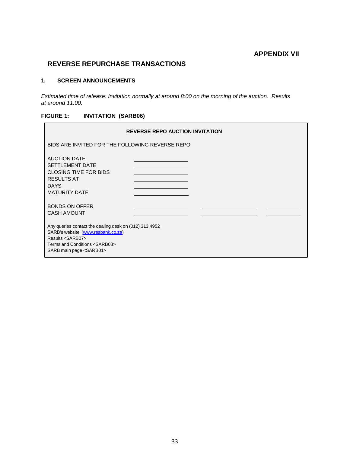## **APPENDIX VII**

## **REVERSE REPURCHASE TRANSACTIONS**

#### **1. SCREEN ANNOUNCEMENTS**

*Estimated time of release: Invitation normally at around 8:00 on the morning of the auction. Results at around 11:00.*

#### **FIGURE 1: INVITATION (SARB06)**

|                                                                                                                                                                                                           | <b>REVERSE REPO AUCTION INVITATION</b> |
|-----------------------------------------------------------------------------------------------------------------------------------------------------------------------------------------------------------|----------------------------------------|
| BIDS ARE INVITED FOR THE FOLLOWING REVERSE REPO                                                                                                                                                           |                                        |
| <b>AUCTION DATE</b><br><b>SETTLEMENT DATE</b><br><b>CLOSING TIME FOR BIDS</b><br><b>RESULTS AT</b><br><b>DAYS</b><br><b>MATURITY DATE</b>                                                                 |                                        |
| <b>BONDS ON OFFER</b><br><b>CASH AMOUNT</b>                                                                                                                                                               |                                        |
| Any queries contact the dealing desk on (012) 313 4952<br>SARB's website (www.resbank.co.za)<br>Results <sarb07><br/>Terms and Conditions <sarb08><br/>SARB main page <sarb01></sarb01></sarb08></sarb07> |                                        |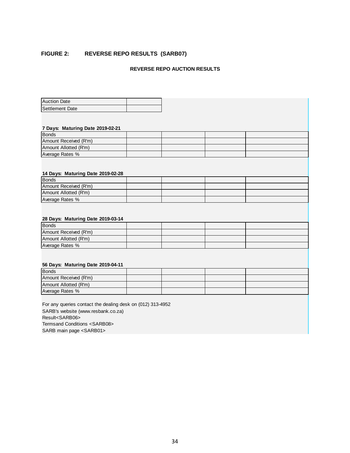#### **FIGURE 2: REVERSE REPO RESULTS (SARB07)**

#### **REVERSE REPO AUCTION RESULTS**

| <b>Auction Date</b> |  |
|---------------------|--|
| Settlement Date     |  |

#### **7 Days: Maturing Date 2019-02-21**

| <b>Bonds</b>          |  |  |
|-----------------------|--|--|
| Amount Received (R'm) |  |  |
| Amount Allotted (R'm) |  |  |
| Average Rates %       |  |  |
|                       |  |  |

#### **14 Days: Maturing Date 2019-02-28**

| <b>Bonds</b>          |  |  |
|-----------------------|--|--|
| Amount Received (R'm) |  |  |
| Amount Allotted (R'm) |  |  |
| Average Rates %       |  |  |

#### **28 Days: Maturing Date 2019-03-14**

| <b>Bonds</b>          |  |  |
|-----------------------|--|--|
| Amount Received (R'm) |  |  |
| Amount Allotted (R'm) |  |  |
| Average Rates %       |  |  |

#### **56 Days: Maturing Date 2019-04-11**

| <b>Bonds</b>          |  |  |
|-----------------------|--|--|
| Amount Received (R'm) |  |  |
| Amount Allotted (R'm) |  |  |
| Average Rates %       |  |  |

For any queries contact the dealing desk on (012) 313-4952 SARB's website (www.resbank.co.za) Result<SARB06> Termsand Conditions <SARB08> SARB main page <SARB01>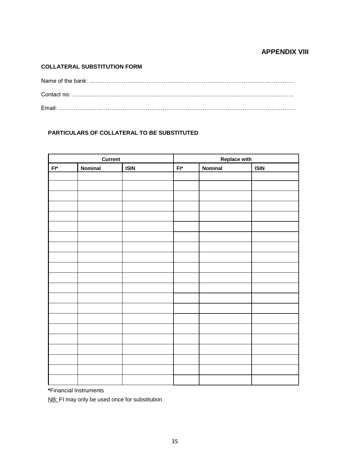## **APPENDIX VIII**

#### **COLLATERAL SUBSTITUTION FORM**

#### **PARTICULARS OF COLLATERAL TO BE SUBSTITUTED**

| Current               |         | <b>Replace with</b> |                       |         |             |
|-----------------------|---------|---------------------|-----------------------|---------|-------------|
| $\mathsf{FI}^{\star}$ | Nominal | <b>ISIN</b>         | $\mathsf{FI}^{\star}$ | Nominal | <b>ISIN</b> |
|                       |         |                     |                       |         |             |
|                       |         |                     |                       |         |             |
|                       |         |                     |                       |         |             |
|                       |         |                     |                       |         |             |
|                       |         |                     |                       |         |             |
|                       |         |                     |                       |         |             |
|                       |         |                     |                       |         |             |
|                       |         |                     |                       |         |             |
|                       |         |                     |                       |         |             |
|                       |         |                     |                       |         |             |
|                       |         |                     |                       |         |             |
|                       |         |                     |                       |         |             |
|                       |         |                     |                       |         |             |
|                       |         |                     |                       |         |             |
|                       |         |                     |                       |         |             |
|                       |         |                     |                       |         |             |
|                       |         |                     |                       |         |             |
|                       |         |                     |                       |         |             |
|                       |         |                     |                       |         |             |
|                       |         |                     |                       |         |             |
|                       |         |                     |                       |         |             |

**\***Financial Instruments

NB: FI may only be used once for substitution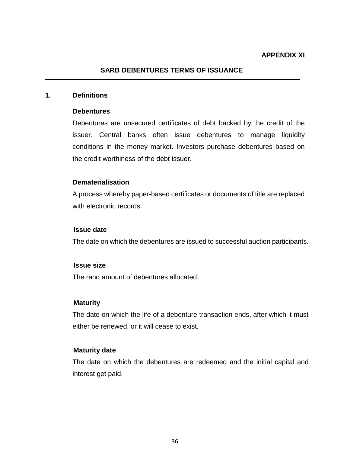#### **SARB DEBENTURES TERMS OF ISSUANCE**

#### **1. Definitions**

#### **Debentures**

Debentures are unsecured certificates of debt backed by the credit of the issuer. Central banks often issue debentures to manage liquidity conditions in the money market. Investors purchase debentures based on the credit worthiness of the debt issuer.

#### **Dematerialisation**

A process whereby paper-based certificates or documents of title are replaced with electronic records.

#### **Issue date**

The date on which the debentures are issued to successful auction participants.

#### **Issue size**

The rand amount of debentures allocated.

#### **Maturity**

The date on which the life of a debenture transaction ends, after which it must either be renewed, or it will cease to exist.

#### **Maturity date**

The date on which the debentures are redeemed and the initial capital and interest get paid.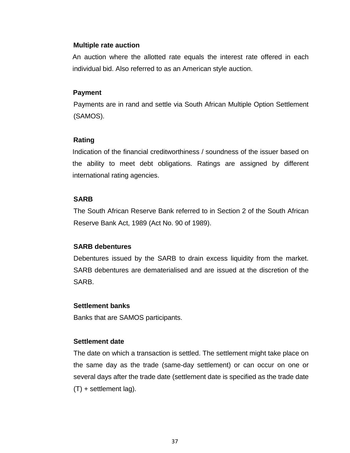#### **Multiple rate auction**

An auction where the allotted rate equals the interest rate offered in each individual bid. Also referred to as an American style auction.

#### **Payment**

Payments are in rand and settle via South African Multiple Option Settlement (SAMOS).

#### **Rating**

Indication of the financial creditworthiness / soundness of the issuer based on the ability to meet debt obligations. Ratings are assigned by different international rating agencies.

## **SARB**

The South African Reserve Bank referred to in Section 2 of the South African Reserve Bank Act, 1989 (Act No. 90 of 1989).

#### **SARB debentures**

Debentures issued by the SARB to drain excess liquidity from the market. SARB debentures are dematerialised and are issued at the discretion of the SARB.

#### **Settlement banks**

Banks that are SAMOS participants.

#### **Settlement date**

The date on which a transaction is settled. The settlement might take place on the same day as the trade (same-day settlement) or can occur on one or several days after the trade date (settlement date is specified as the trade date (T) + settlement lag).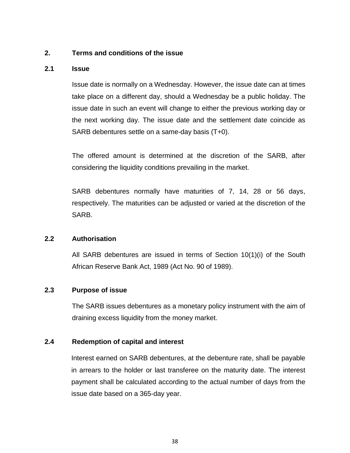## **2. Terms and conditions of the issue**

#### **2.1 Issue**

Issue date is normally on a Wednesday. However, the issue date can at times take place on a different day, should a Wednesday be a public holiday. The issue date in such an event will change to either the previous working day or the next working day. The issue date and the settlement date coincide as SARB debentures settle on a same-day basis (T+0).

The offered amount is determined at the discretion of the SARB, after considering the liquidity conditions prevailing in the market.

SARB debentures normally have maturities of 7, 14, 28 or 56 days, respectively. The maturities can be adjusted or varied at the discretion of the SARB.

## **2.2 Authorisation**

All SARB debentures are issued in terms of Section 10(1)(i) of the South African Reserve Bank Act, 1989 (Act No. 90 of 1989).

## **2.3 Purpose of issue**

The SARB issues debentures as a monetary policy instrument with the aim of draining excess liquidity from the money market.

## **2.4 Redemption of capital and interest**

Interest earned on SARB debentures, at the debenture rate, shall be payable in arrears to the holder or last transferee on the maturity date. The interest payment shall be calculated according to the actual number of days from the issue date based on a 365-day year.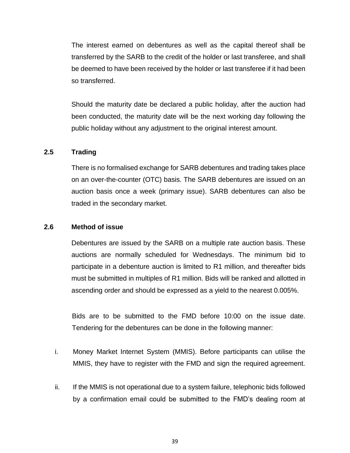The interest earned on debentures as well as the capital thereof shall be transferred by the SARB to the credit of the holder or last transferee, and shall be deemed to have been received by the holder or last transferee if it had been so transferred.

Should the maturity date be declared a public holiday, after the auction had been conducted, the maturity date will be the next working day following the public holiday without any adjustment to the original interest amount.

## **2.5 Trading**

There is no formalised exchange for SARB debentures and trading takes place on an over-the-counter (OTC) basis. The SARB debentures are issued on an auction basis once a week (primary issue). SARB debentures can also be traded in the secondary market.

#### **2.6 Method of issue**

Debentures are issued by the SARB on a multiple rate auction basis. These auctions are normally scheduled for Wednesdays. The minimum bid to participate in a debenture auction is limited to R1 million, and thereafter bids must be submitted in multiples of R1 million. Bids will be ranked and allotted in ascending order and should be expressed as a yield to the nearest 0.005%.

Bids are to be submitted to the FMD before 10:00 on the issue date. Tendering for the debentures can be done in the following manner:

- i. Money Market Internet System (MMIS). Before participants can utilise the MMIS, they have to register with the FMD and sign the required agreement.
- ii. If the MMIS is not operational due to a system failure, telephonic bids followed by a confirmation email could be submitted to the FMD's dealing room at